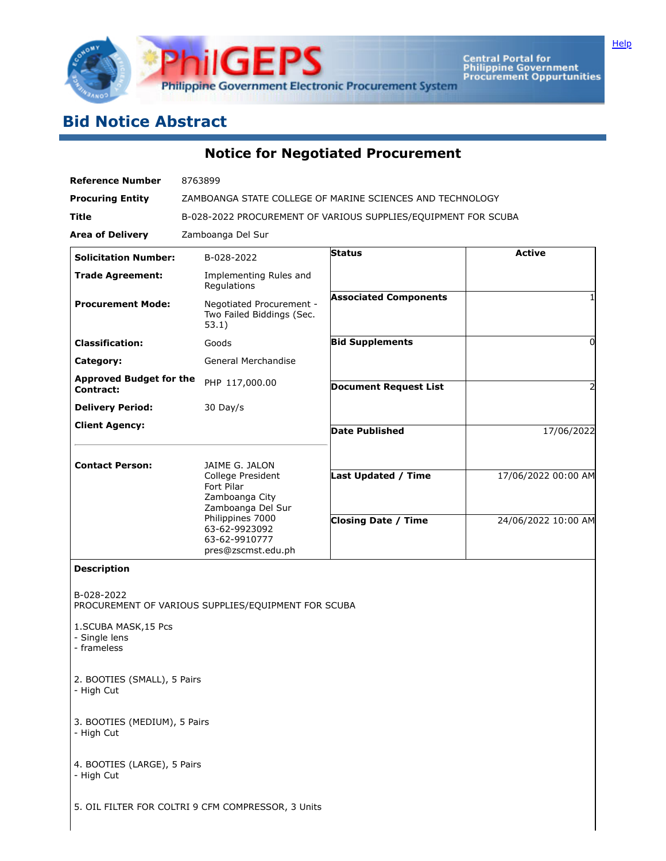

Central Portal for<br>Philippine Government<br>Procurement Oppurtunities

## **Bid Notice Abstract**

**Notice for Negotiated Procurement**

| <b>Reference Number</b>                                            | 8763899                                                                                  |                              |                     |
|--------------------------------------------------------------------|------------------------------------------------------------------------------------------|------------------------------|---------------------|
| <b>Procuring Entity</b>                                            | ZAMBOANGA STATE COLLEGE OF MARINE SCIENCES AND TECHNOLOGY                                |                              |                     |
| Title                                                              | B-028-2022 PROCUREMENT OF VARIOUS SUPPLIES/EQUIPMENT FOR SCUBA                           |                              |                     |
| <b>Area of Delivery</b>                                            | Zamboanga Del Sur                                                                        |                              |                     |
| <b>Solicitation Number:</b>                                        | B-028-2022                                                                               | <b>Status</b>                | <b>Active</b>       |
| <b>Trade Agreement:</b>                                            | Implementing Rules and<br>Regulations                                                    |                              |                     |
| <b>Procurement Mode:</b>                                           | Negotiated Procurement -<br>Two Failed Biddings (Sec.<br>53.1)                           | <b>Associated Components</b> | 1                   |
| <b>Classification:</b>                                             | Goods                                                                                    | <b>Bid Supplements</b>       | 0                   |
| Category:                                                          | General Merchandise                                                                      |                              |                     |
| <b>Approved Budget for the</b><br>Contract:                        | PHP 117,000.00                                                                           | <b>Document Request List</b> | 2                   |
| <b>Delivery Period:</b>                                            | 30 Day/s                                                                                 |                              |                     |
| <b>Client Agency:</b>                                              |                                                                                          | <b>Date Published</b>        | 17/06/2022          |
|                                                                    |                                                                                          |                              |                     |
| <b>Contact Person:</b>                                             | JAIME G. JALON<br>College President<br>Fort Pilar<br>Zamboanga City<br>Zamboanga Del Sur | <b>Last Updated / Time</b>   | 17/06/2022 00:00 AM |
|                                                                    | Philippines 7000<br>63-62-9923092<br>63-62-9910777<br>pres@zscmst.edu.ph                 | <b>Closing Date / Time</b>   | 24/06/2022 10:00 AM |
| <b>Description</b>                                                 |                                                                                          |                              |                     |
| B-028-2022<br>1.SCUBA MASK, 15 Pcs<br>- Single lens<br>- frameless | PROCUREMENT OF VARIOUS SUPPLIES/EQUIPMENT FOR SCUBA                                      |                              |                     |
| 2. BOOTIES (SMALL), 5 Pairs<br>- High Cut                          |                                                                                          |                              |                     |
| 3. BOOTIES (MEDIUM), 5 Pairs<br>- High Cut                         |                                                                                          |                              |                     |
| 4. BOOTIES (LARGE), 5 Pairs<br>- High Cut                          |                                                                                          |                              |                     |
|                                                                    | 5. OIL FILTER FOR COLTRI 9 CFM COMPRESSOR, 3 Units                                       |                              |                     |

**[Help](javascript:void(window.open()** 

 $\overline{\phantom{a}}$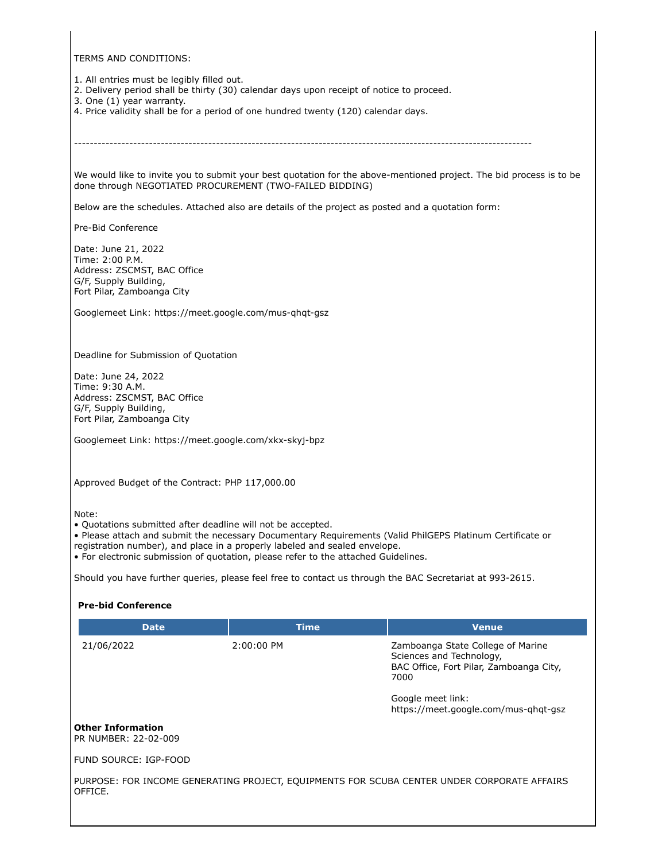TERMS AND CONDITIONS:

1. All entries must be legibly filled out.

- 2. Delivery period shall be thirty (30) calendar days upon receipt of notice to proceed.
- 3. One (1) year warranty.
- 4. Price validity shall be for a period of one hundred twenty (120) calendar days.

--------------------------------------------------------------------------------------------------------------------

We would like to invite you to submit your best quotation for the above-mentioned project. The bid process is to be done through NEGOTIATED PROCUREMENT (TWO-FAILED BIDDING)

Below are the schedules. Attached also are details of the project as posted and a quotation form:

Pre-Bid Conference

Date: June 21, 2022 Time: 2:00 P.M. Address: ZSCMST, BAC Office G/F, Supply Building, Fort Pilar, Zamboanga City

Googlemeet Link: https://meet.google.com/mus-qhqt-gsz

Deadline for Submission of Quotation

Date: June 24, 2022 Time: 9:30 A.M. Address: ZSCMST, BAC Office G/F, Supply Building, Fort Pilar, Zamboanga City

Googlemeet Link: https://meet.google.com/xkx-skyj-bpz

Approved Budget of the Contract: PHP 117,000.00

Note:

• Quotations submitted after deadline will not be accepted.

• Please attach and submit the necessary Documentary Requirements (Valid PhilGEPS Platinum Certificate or

registration number), and place in a properly labeled and sealed envelope.

• For electronic submission of quotation, please refer to the attached Guidelines.

Should you have further queries, please feel free to contact us through the BAC Secretariat at 993-2615.

## **Pre-bid Conference Date Time Venue** 21/06/2022 2:00:00 PM Zamboanga State College of Marine Sciences and Technology, BAC Office, Fort Pilar, Zamboanga City, 7000 Google meet link: https://meet.google.com/mus-qhqt-gsz **Other Information** PR NUMBER: 22-02-009 FUND SOURCE: IGP-FOOD PURPOSE: FOR INCOME GENERATING PROJECT, EQUIPMENTS FOR SCUBA CENTER UNDER CORPORATE AFFAIRS OFFICE.